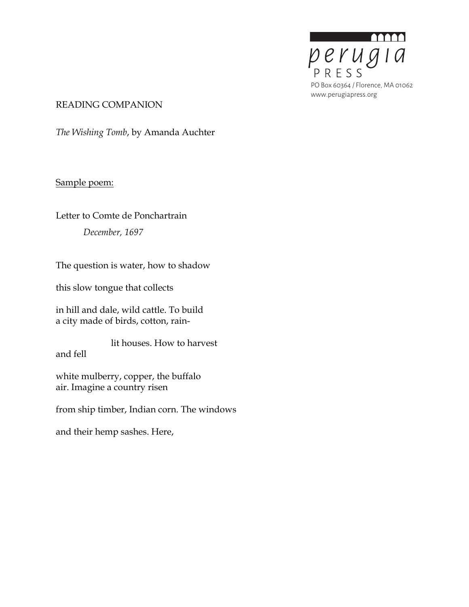

#### READING COMPANION

*The Wishing Tomb*, by Amanda Auchter

## Sample poem:

# Letter to Comte de Ponchartrain *December, 1697*

The question is water, how to shadow

this slow tongue that collects

in hill and dale, wild cattle. To build a city made of birds, cotton, rain-

lit houses. How to harvest and fell

white mulberry, copper, the buffalo air. Imagine a country risen

from ship timber, Indian corn. The windows

and their hemp sashes. Here,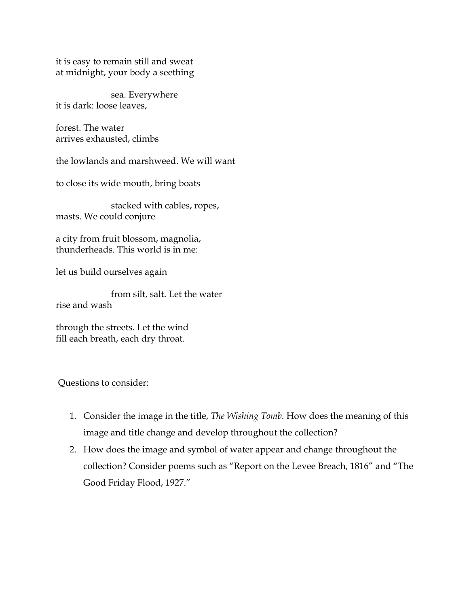it is easy to remain still and sweat at midnight, your body a seething

sea. Everywhere it is dark: loose leaves,

forest. The water arrives exhausted, climbs

the lowlands and marshweed. We will want

to close its wide mouth, bring boats

stacked with cables, ropes, masts. We could conjure

a city from fruit blossom, magnolia, thunderheads. This world is in me:

let us build ourselves again

from silt, salt. Let the water rise and wash

through the streets. Let the wind fill each breath, each dry throat.

#### Questions to consider:

- 1. Consider the image in the title, *The Wishing Tomb.* How does the meaning of this image and title change and develop throughout the collection?
- 2. How does the image and symbol of water appear and change throughout the collection? Consider poems such as "Report on the Levee Breach, 1816" and "The Good Friday Flood, 1927."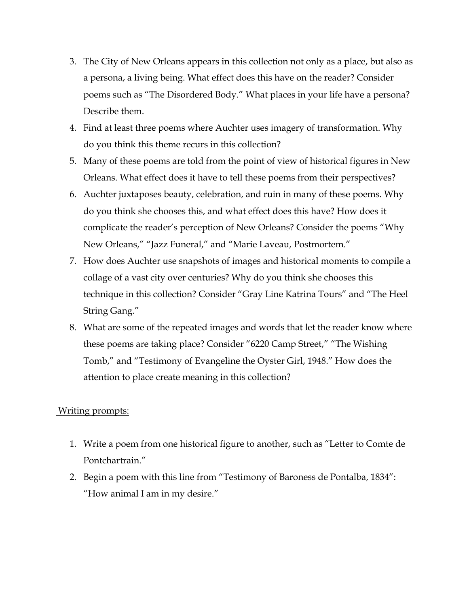- 3. The City of New Orleans appears in this collection not only as a place, but also as a persona, a living being. What effect does this have on the reader? Consider poems such as "The Disordered Body." What places in your life have a persona? Describe them.
- 4. Find at least three poems where Auchter uses imagery of transformation. Why do you think this theme recurs in this collection?
- 5. Many of these poems are told from the point of view of historical figures in New Orleans. What effect does it have to tell these poems from their perspectives?
- 6. Auchter juxtaposes beauty, celebration, and ruin in many of these poems. Why do you think she chooses this, and what effect does this have? How does it complicate the reader's perception of New Orleans? Consider the poems "Why New Orleans," "Jazz Funeral," and "Marie Laveau, Postmortem."
- 7. How does Auchter use snapshots of images and historical moments to compile a collage of a vast city over centuries? Why do you think she chooses this technique in this collection? Consider "Gray Line Katrina Tours" and "The Heel String Gang."
- 8. What are some of the repeated images and words that let the reader know where these poems are taking place? Consider "6220 Camp Street," "The Wishing Tomb," and "Testimony of Evangeline the Oyster Girl, 1948." How does the attention to place create meaning in this collection?

#### Writing prompts:

- 1. Write a poem from one historical figure to another, such as "Letter to Comte de Pontchartrain."
- 2. Begin a poem with this line from "Testimony of Baroness de Pontalba, 1834": "How animal I am in my desire."